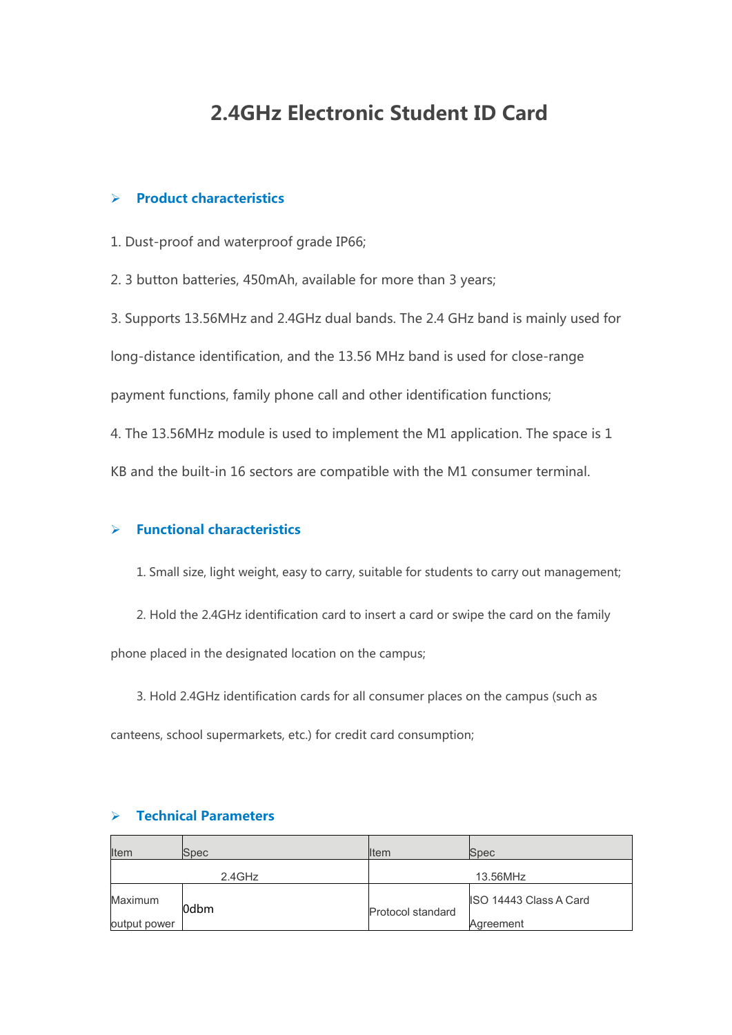## **2.4GHz Electronic Student ID Card**

## **Product characteristics**

1. Dust-proof and waterproof grade IP66;

2. 3 button batteries, 450mAh, available for more than 3 years;

3. Supports 13.56MHz and 2.4GHz dual bands. The 2.4 GHz band is mainly used for long-distance identification, and the 13.56 MHz band is used for close-range payment functions, family phone call and other identification functions; 4. The 13.56MHz module is used to implement the M1 application. The space is 1 KB and the built-in 16 sectors are compatible with the M1 consumer terminal.

## **Functional characteristics**

- 1. Small size, light weight, easy to carry, suitable for students to carry out management;
- 2. Hold the 2.4GHz identification card to insert a card or swipe the card on the family

phone placed in the designated location on the campus;

3. Hold 2.4GHz identification cards forall consumer places on the campus (such as canteens, school supermarkets, etc.) for credit card consumption;

| <b>Item</b>  | <b>Spec</b> | <b>I</b> tem      | Spec                   |
|--------------|-------------|-------------------|------------------------|
| $2.4$ GHz    |             | 13.56MHz          |                        |
| Maximum      | l0dbm       | Protocol standard | ISO 14443 Class A Card |
| output power |             |                   | Agreement              |

## **Technical Parameters**